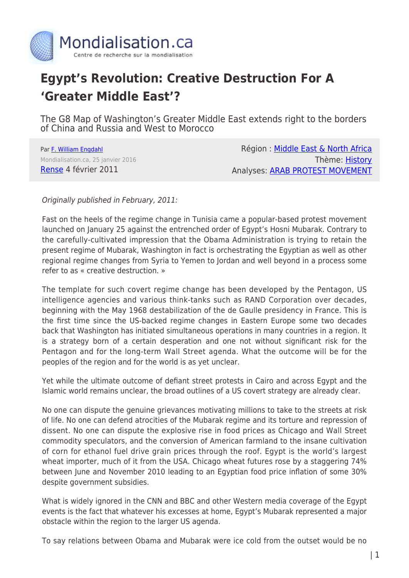

# **Egypt's Revolution: Creative Destruction For A 'Greater Middle East'?**

The G8 Map of Washington's Greater Middle East extends right to the borders of China and Russia and West to Morocco

Par [F. William Engdahl](https://www.mondialisation.ca/author/f-william-engdahl) Mondialisation.ca, 25 janvier 2016 [Rense](http://www.rense.com/) 4 février 2011

Région : [Middle East & North Africa](https://www.mondialisation.ca/region/middle-east) Thème: [History](https://www.mondialisation.ca/theme/culture-society-history) Analyses: [ARAB PROTEST MOVEMENT](https://www.mondialisation.ca/indepthreport/arab-protest-movement)

Originally published in February, 2011:

Fast on the heels of the regime change in Tunisia came a popular-based protest movement launched on January 25 against the entrenched order of Egypt's Hosni Mubarak. Contrary to the carefully-cultivated impression that the Obama Administration is trying to retain the present regime of Mubarak, Washington in fact is orchestrating the Egyptian as well as other regional regime changes from Syria to Yemen to Jordan and well beyond in a process some refer to as « creative destruction. »

The template for such covert regime change has been developed by the Pentagon, US intelligence agencies and various think-tanks such as RAND Corporation over decades, beginning with the May 1968 destabilization of the de Gaulle presidency in France. This is the first time since the US-backed regime changes in Eastern Europe some two decades back that Washington has initiated simultaneous operations in many countries in a region. It is a strategy born of a certain desperation and one not without significant risk for the Pentagon and for the long-term Wall Street agenda. What the outcome will be for the peoples of the region and for the world is as yet unclear.

Yet while the ultimate outcome of defiant street protests in Cairo and across Egypt and the Islamic world remains unclear, the broad outlines of a US covert strategy are already clear.

No one can dispute the genuine grievances motivating millions to take to the streets at risk of life. No one can defend atrocities of the Mubarak regime and its torture and repression of dissent. No one can dispute the explosive rise in food prices as Chicago and Wall Street commodity speculators, and the conversion of American farmland to the insane cultivation of corn for ethanol fuel drive grain prices through the roof. Egypt is the world's largest wheat importer, much of it from the USA. Chicago wheat futures rose by a staggering 74% between June and November 2010 leading to an Egyptian food price inflation of some 30% despite government subsidies.

What is widely ignored in the CNN and BBC and other Western media coverage of the Egypt events is the fact that whatever his excesses at home, Egypt's Mubarak represented a major obstacle within the region to the larger US agenda.

To say relations between Obama and Mubarak were ice cold from the outset would be no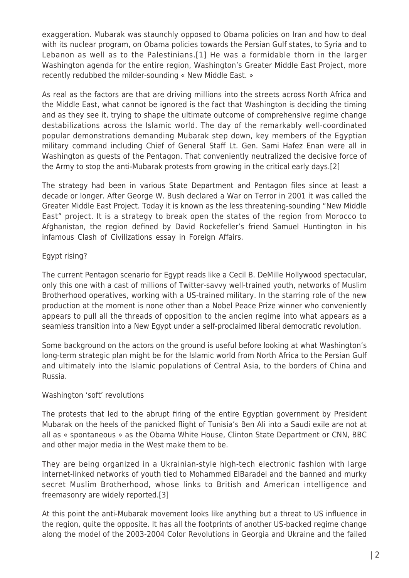exaggeration. Mubarak was staunchly opposed to Obama policies on Iran and how to deal with its nuclear program, on Obama policies towards the Persian Gulf states, to Syria and to Lebanon as well as to the Palestinians.[1] He was a formidable thorn in the larger Washington agenda for the entire region, Washington's Greater Middle East Project, more recently redubbed the milder-sounding « New Middle East. »

As real as the factors are that are driving millions into the streets across North Africa and the Middle East, what cannot be ignored is the fact that Washington is deciding the timing and as they see it, trying to shape the ultimate outcome of comprehensive regime change destabilizations across the Islamic world. The day of the remarkably well-coordinated popular demonstrations demanding Mubarak step down, key members of the Egyptian military command including Chief of General Staff Lt. Gen. Sami Hafez Enan were all in Washington as guests of the Pentagon. That conveniently neutralized the decisive force of the Army to stop the anti-Mubarak protests from growing in the critical early days.[2]

The strategy had been in various State Department and Pentagon files since at least a decade or longer. After George W. Bush declared a War on Terror in 2001 it was called the Greater Middle East Project. Today it is known as the less threatening-sounding "New Middle East" project. It is a strategy to break open the states of the region from Morocco to Afghanistan, the region defined by David Rockefeller's friend Samuel Huntington in his infamous Clash of Civilizations essay in Foreign Affairs.

## Egypt rising?

The current Pentagon scenario for Egypt reads like a Cecil B. DeMille Hollywood spectacular, only this one with a cast of millions of Twitter-savvy well-trained youth, networks of Muslim Brotherhood operatives, working with a US-trained military. In the starring role of the new production at the moment is none other than a Nobel Peace Prize winner who conveniently appears to pull all the threads of opposition to the ancien regime into what appears as a seamless transition into a New Egypt under a self-proclaimed liberal democratic revolution.

Some background on the actors on the ground is useful before looking at what Washington's long-term strategic plan might be for the Islamic world from North Africa to the Persian Gulf and ultimately into the Islamic populations of Central Asia, to the borders of China and Russia.

## Washington 'soft' revolutions

The protests that led to the abrupt firing of the entire Egyptian government by President Mubarak on the heels of the panicked flight of Tunisia's Ben Ali into a Saudi exile are not at all as « spontaneous » as the Obama White House, Clinton State Department or CNN, BBC and other major media in the West make them to be.

They are being organized in a Ukrainian-style high-tech electronic fashion with large internet-linked networks of youth tied to Mohammed ElBaradei and the banned and murky secret Muslim Brotherhood, whose links to British and American intelligence and freemasonry are widely reported.[3]

At this point the anti-Mubarak movement looks like anything but a threat to US influence in the region, quite the opposite. It has all the footprints of another US-backed regime change along the model of the 2003-2004 Color Revolutions in Georgia and Ukraine and the failed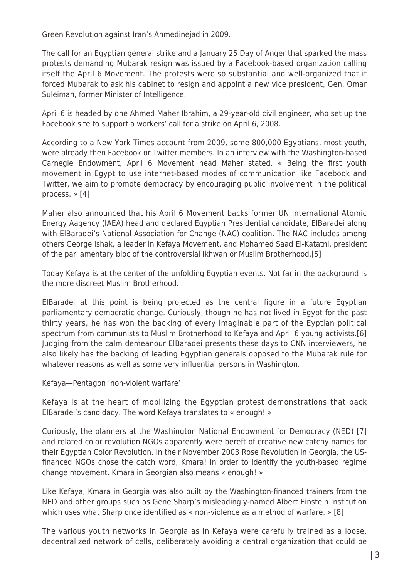Green Revolution against Iran's Ahmedinejad in 2009.

The call for an Egyptian general strike and a January 25 Day of Anger that sparked the mass protests demanding Mubarak resign was issued by a Facebook-based organization calling itself the April 6 Movement. The protests were so substantial and well-organized that it forced Mubarak to ask his cabinet to resign and appoint a new vice president, Gen. Omar Suleiman, former Minister of Intelligence.

April 6 is headed by one Ahmed Maher Ibrahim, a 29-year-old civil engineer, who set up the Facebook site to support a workers' call for a strike on April 6, 2008.

According to a New York Times account from 2009, some 800,000 Egyptians, most youth, were already then Facebook or Twitter members. In an interview with the Washington-based Carnegie Endowment, April 6 Movement head Maher stated, « Being the first youth movement in Egypt to use internet-based modes of communication like Facebook and Twitter, we aim to promote democracy by encouraging public involvement in the political process. » [4]

Maher also announced that his April 6 Movement backs former UN International Atomic Energy Aagency (IAEA) head and declared Egyptian Presidential candidate, ElBaradei along with ElBaradei's National Association for Change (NAC) coalition. The NAC includes among others George Ishak, a leader in Kefaya Movement, and Mohamed Saad El-Katatni, president of the parliamentary bloc of the controversial Ikhwan or Muslim Brotherhood.[5]

Today Kefaya is at the center of the unfolding Egyptian events. Not far in the background is the more discreet Muslim Brotherhood.

ElBaradei at this point is being projected as the central figure in a future Egyptian parliamentary democratic change. Curiously, though he has not lived in Egypt for the past thirty years, he has won the backing of every imaginable part of the Eyptian political spectrum from communists to Muslim Brotherhood to Kefaya and April 6 young activists.[6] Judging from the calm demeanour ElBaradei presents these days to CNN interviewers, he also likely has the backing of leading Egyptian generals opposed to the Mubarak rule for whatever reasons as well as some very influential persons in Washington.

Kefaya—Pentagon 'non-violent warfare'

Kefaya is at the heart of mobilizing the Egyptian protest demonstrations that back ElBaradei's candidacy. The word Kefaya translates to « enough! »

Curiously, the planners at the Washington National Endowment for Democracy (NED) [7] and related color revolution NGOs apparently were bereft of creative new catchy names for their Egyptian Color Revolution. In their November 2003 Rose Revolution in Georgia, the USfinanced NGOs chose the catch word, Kmara! In order to identify the youth-based regime change movement. Kmara in Georgian also means « enough! »

Like Kefaya, Kmara in Georgia was also built by the Washington-financed trainers from the NED and other groups such as Gene Sharp's misleadingly-named Albert Einstein Institution which uses what Sharp once identified as « non-violence as a method of warfare. » [8]

The various youth networks in Georgia as in Kefaya were carefully trained as a loose, decentralized network of cells, deliberately avoiding a central organization that could be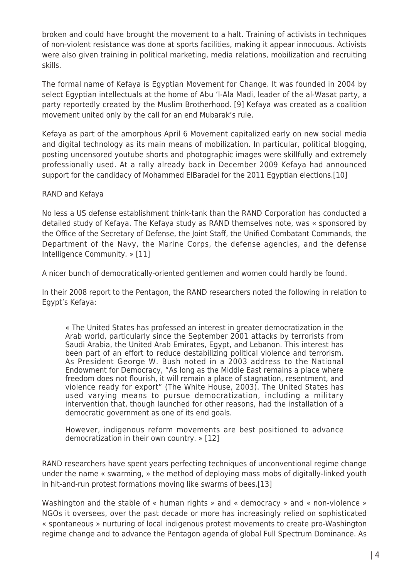broken and could have brought the movement to a halt. Training of activists in techniques of non-violent resistance was done at sports facilities, making it appear innocuous. Activists were also given training in political marketing, media relations, mobilization and recruiting skills.

The formal name of Kefaya is Egyptian Movement for Change. It was founded in 2004 by select Egyptian intellectuals at the home of Abu 'l-Ala Madi, leader of the al-Wasat party, a party reportedly created by the Muslim Brotherhood. [9] Kefaya was created as a coalition movement united only by the call for an end Mubarak's rule.

Kefaya as part of the amorphous April 6 Movement capitalized early on new social media and digital technology as its main means of mobilization. In particular, political blogging, posting uncensored youtube shorts and photographic images were skillfully and extremely professionally used. At a rally already back in December 2009 Kefaya had announced support for the candidacy of Mohammed ElBaradei for the 2011 Egyptian elections.[10]

#### RAND and Kefaya

No less a US defense establishment think-tank than the RAND Corporation has conducted a detailed study of Kefaya. The Kefaya study as RAND themselves note, was « sponsored by the Office of the Secretary of Defense, the Joint Staff, the Unified Combatant Commands, the Department of the Navy, the Marine Corps, the defense agencies, and the defense Intelligence Community. » [11]

A nicer bunch of democratically-oriented gentlemen and women could hardly be found.

In their 2008 report to the Pentagon, the RAND researchers noted the following in relation to Egypt's Kefaya:

« The United States has professed an interest in greater democratization in the Arab world, particularly since the September 2001 attacks by terrorists from Saudi Arabia, the United Arab Emirates, Egypt, and Lebanon. This interest has been part of an effort to reduce destabilizing political violence and terrorism. As President George W. Bush noted in a 2003 address to the National Endowment for Democracy, "As long as the Middle East remains a place where freedom does not flourish, it will remain a place of stagnation, resentment, and violence ready for export" (The White House, 2003). The United States has used varying means to pursue democratization, including a military intervention that, though launched for other reasons, had the installation of a democratic government as one of its end goals.

However, indigenous reform movements are best positioned to advance democratization in their own country. » [12]

RAND researchers have spent years perfecting techniques of unconventional regime change under the name « swarming, » the method of deploying mass mobs of digitally-linked youth in hit-and-run protest formations moving like swarms of bees.[13]

Washington and the stable of « human rights » and « democracy » and « non-violence » NGOs it oversees, over the past decade or more has increasingly relied on sophisticated « spontaneous » nurturing of local indigenous protest movements to create pro-Washington regime change and to advance the Pentagon agenda of global Full Spectrum Dominance. As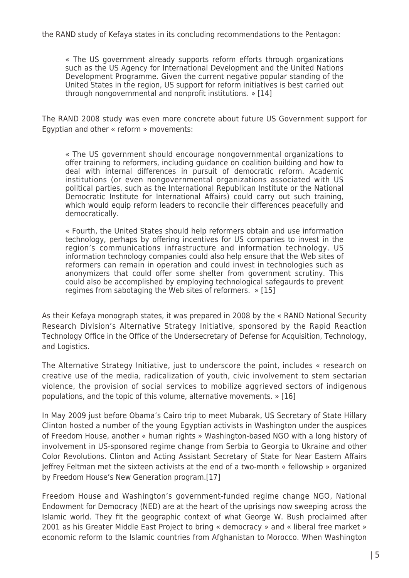« The US government already supports reform efforts through organizations such as the US Agency for International Development and the United Nations Development Programme. Given the current negative popular standing of the United States in the region, US support for reform initiatives is best carried out through nongovernmental and nonprofit institutions. » [14]

The RAND 2008 study was even more concrete about future US Government support for Egyptian and other « reform » movements:

« The US government should encourage nongovernmental organizations to offer training to reformers, including guidance on coalition building and how to deal with internal differences in pursuit of democratic reform. Academic institutions (or even nongovernmental organizations associated with US political parties, such as the International Republican Institute or the National Democratic Institute for International Affairs) could carry out such training, which would equip reform leaders to reconcile their differences peacefully and democratically.

« Fourth, the United States should help reformers obtain and use information technology, perhaps by offering incentives for US companies to invest in the region's communications infrastructure and information technology. US information technology companies could also help ensure that the Web sites of reformers can remain in operation and could invest in technologies such as anonymizers that could offer some shelter from government scrutiny. This could also be accomplished by employing technological safegaurds to prevent regimes from sabotaging the Web sites of reformers. » [15]

As their Kefaya monograph states, it was prepared in 2008 by the « RAND National Security Research Division's Alternative Strategy Initiative, sponsored by the Rapid Reaction Technology Office in the Office of the Undersecretary of Defense for Acquisition, Technology, and Logistics.

The Alternative Strategy Initiative, just to underscore the point, includes « research on creative use of the media, radicalization of youth, civic involvement to stem sectarian violence, the provision of social services to mobilize aggrieved sectors of indigenous populations, and the topic of this volume, alternative movements. » [16]

In May 2009 just before Obama's Cairo trip to meet Mubarak, US Secretary of State Hillary Clinton hosted a number of the young Egyptian activists in Washington under the auspices of Freedom House, another « human rights » Washington-based NGO with a long history of involvement in US-sponsored regime change from Serbia to Georgia to Ukraine and other Color Revolutions. Clinton and Acting Assistant Secretary of State for Near Eastern Affairs Jeffrey Feltman met the sixteen activists at the end of a two-month « fellowship » organized by Freedom House's New Generation program.[17]

Freedom House and Washington's government-funded regime change NGO, National Endowment for Democracy (NED) are at the heart of the uprisings now sweeping across the Islamic world. They fit the geographic context of what George W. Bush proclaimed after 2001 as his Greater Middle East Project to bring « democracy » and « liberal free market » economic reform to the Islamic countries from Afghanistan to Morocco. When Washington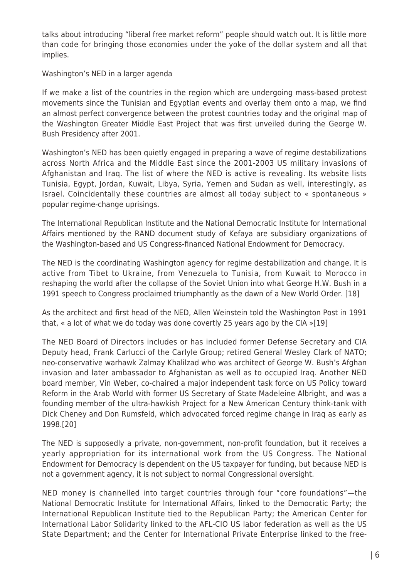talks about introducing "liberal free market reform" people should watch out. It is little more than code for bringing those economies under the yoke of the dollar system and all that implies.

#### Washington's NED in a larger agenda

If we make a list of the countries in the region which are undergoing mass-based protest movements since the Tunisian and Egyptian events and overlay them onto a map, we find an almost perfect convergence between the protest countries today and the original map of the Washington Greater Middle East Project that was first unveiled during the George W. Bush Presidency after 2001.

Washington's NED has been quietly engaged in preparing a wave of regime destabilizations across North Africa and the Middle East since the 2001-2003 US military invasions of Afghanistan and Iraq. The list of where the NED is active is revealing. Its website lists Tunisia, Egypt, Jordan, Kuwait, Libya, Syria, Yemen and Sudan as well, interestingly, as Israel. Coincidentally these countries are almost all today subject to « spontaneous » popular regime-change uprisings.

The International Republican Institute and the National Democratic Institute for International Affairs mentioned by the RAND document study of Kefaya are subsidiary organizations of the Washington-based and US Congress-financed National Endowment for Democracy.

The NED is the coordinating Washington agency for regime destabilization and change. It is active from Tibet to Ukraine, from Venezuela to Tunisia, from Kuwait to Morocco in reshaping the world after the collapse of the Soviet Union into what George H.W. Bush in a 1991 speech to Congress proclaimed triumphantly as the dawn of a New World Order. [18]

As the architect and first head of the NED, Allen Weinstein told the Washington Post in 1991 that, « a lot of what we do today was done covertly 25 years ago by the CIA »[19]

The NED Board of Directors includes or has included former Defense Secretary and CIA Deputy head, Frank Carlucci of the Carlyle Group; retired General Wesley Clark of NATO; neo-conservative warhawk Zalmay Khalilzad who was architect of George W. Bush's Afghan invasion and later ambassador to Afghanistan as well as to occupied Iraq. Another NED board member, Vin Weber, co-chaired a major independent task force on US Policy toward Reform in the Arab World with former US Secretary of State Madeleine Albright, and was a founding member of the ultra-hawkish Project for a New American Century think-tank with Dick Cheney and Don Rumsfeld, which advocated forced regime change in Iraq as early as 1998.[20]

The NED is supposedly a private, non-government, non-profit foundation, but it receives a yearly appropriation for its international work from the US Congress. The National Endowment for Democracy is dependent on the US taxpayer for funding, but because NED is not a government agency, it is not subject to normal Congressional oversight.

NED money is channelled into target countries through four "core foundations"—the National Democratic Institute for International Affairs, linked to the Democratic Party; the International Republican Institute tied to the Republican Party; the American Center for International Labor Solidarity linked to the AFL-CIO US labor federation as well as the US State Department; and the Center for International Private Enterprise linked to the free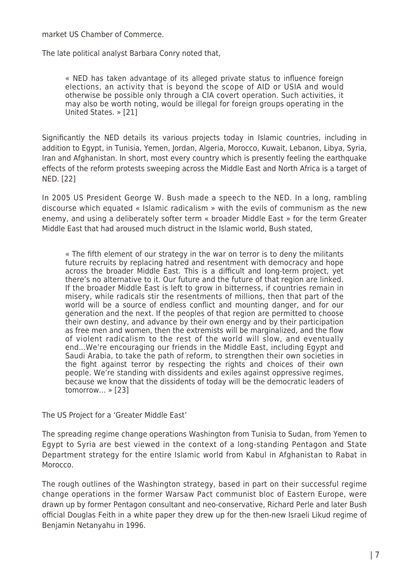market US Chamber of Commerce.

The late political analyst Barbara Conry noted that,

« NED has taken advantage of its alleged private status to influence foreign elections, an activity that is beyond the scope of AID or USIA and would otherwise be possible only through a CIA covert operation. Such activities, it may also be worth noting, would be illegal for foreign groups operating in the United States. » [21]

Significantly the NED details its various projects today in Islamic countries, including in addition to Egypt, in Tunisia, Yemen, Jordan, Algeria, Morocco, Kuwait, Lebanon, Libya, Syria, Iran and Afghanistan. In short, most every country which is presently feeling the earthquake effects of the reform protests sweeping across the Middle East and North Africa is a target of NED. [22]

In 2005 US President George W. Bush made a speech to the NED. In a long, rambling discourse which equated « Islamic radicalism » with the evils of communism as the new enemy, and using a deliberately softer term « broader Middle East » for the term Greater Middle East that had aroused much distruct in the Islamic world, Bush stated,

« The fifth element of our strategy in the war on terror is to deny the militants future recruits by replacing hatred and resentment with democracy and hope across the broader Middle East. This is a difficult and long-term project, yet there's no alternative to it. Our future and the future of that region are linked. If the broader Middle East is left to grow in bitterness, if countries remain in misery, while radicals stir the resentments of millions, then that part of the world will be a source of endless conflict and mounting danger, and for our generation and the next. If the peoples of that region are permitted to choose their own destiny, and advance by their own energy and by their participation as free men and women, then the extremists will be marginalized, and the flow of violent radicalism to the rest of the world will slow, and eventually end…We're encouraging our friends in the Middle East, including Egypt and Saudi Arabia, to take the path of reform, to strengthen their own societies in the fight against terror by respecting the rights and choices of their own people. We're standing with dissidents and exiles against oppressive regimes, because we know that the dissidents of today will be the democratic leaders of tomorrow… » [23]

The US Project for a 'Greater Middle East'

The spreading regime change operations Washington from Tunisia to Sudan, from Yemen to Egypt to Syria are best viewed in the context of a long-standing Pentagon and State Department strategy for the entire Islamic world from Kabul in Afghanistan to Rabat in Morocco.

The rough outlines of the Washington strategy, based in part on their successful regime change operations in the former Warsaw Pact communist bloc of Eastern Europe, were drawn up by former Pentagon consultant and neo-conservative, Richard Perle and later Bush official Douglas Feith in a white paper they drew up for the then-new Israeli Likud regime of Benjamin Netanyahu in 1996.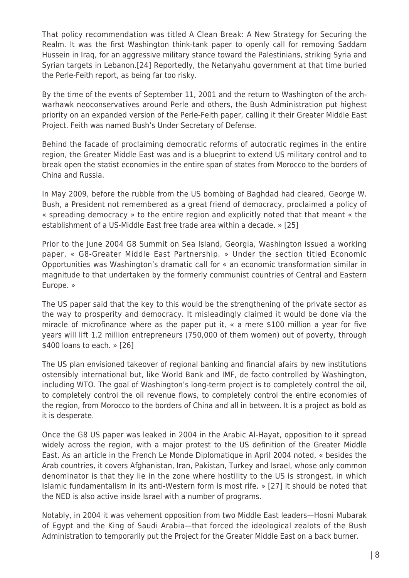That policy recommendation was titled A Clean Break: A New Strategy for Securing the Realm. It was the first Washington think-tank paper to openly call for removing Saddam Hussein in Iraq, for an aggressive military stance toward the Palestinians, striking Syria and Syrian targets in Lebanon.[24] Reportedly, the Netanyahu government at that time buried the Perle-Feith report, as being far too risky.

By the time of the events of September 11, 2001 and the return to Washington of the archwarhawk neoconservatives around Perle and others, the Bush Administration put highest priority on an expanded version of the Perle-Feith paper, calling it their Greater Middle East Project. Feith was named Bush's Under Secretary of Defense.

Behind the facade of proclaiming democratic reforms of autocratic regimes in the entire region, the Greater Middle East was and is a blueprint to extend US military control and to break open the statist economies in the entire span of states from Morocco to the borders of China and Russia.

In May 2009, before the rubble from the US bombing of Baghdad had cleared, George W. Bush, a President not remembered as a great friend of democracy, proclaimed a policy of « spreading democracy » to the entire region and explicitly noted that that meant « the establishment of a US-Middle East free trade area within a decade. » [25]

Prior to the June 2004 G8 Summit on Sea Island, Georgia, Washington issued a working paper, « G8-Greater Middle East Partnership. » Under the section titled Economic Opportunities was Washington's dramatic call for « an economic transformation similar in magnitude to that undertaken by the formerly communist countries of Central and Eastern Europe. »

The US paper said that the key to this would be the strengthening of the private sector as the way to prosperity and democracy. It misleadingly claimed it would be done via the miracle of microfinance where as the paper put it, « a mere \$100 million a year for five years will lift 1.2 million entrepreneurs (750,000 of them women) out of poverty, through \$400 loans to each. » [26]

The US plan envisioned takeover of regional banking and financial afairs by new institutions ostensibly international but, like World Bank and IMF, de facto controlled by Washington, including WTO. The goal of Washington's long-term project is to completely control the oil, to completely control the oil revenue flows, to completely control the entire economies of the region, from Morocco to the borders of China and all in between. It is a project as bold as it is desperate.

Once the G8 US paper was leaked in 2004 in the Arabic Al-Hayat, opposition to it spread widely across the region, with a major protest to the US definition of the Greater Middle East. As an article in the French Le Monde Diplomatique in April 2004 noted, « besides the Arab countries, it covers Afghanistan, Iran, Pakistan, Turkey and Israel, whose only common denominator is that they lie in the zone where hostility to the US is strongest, in which Islamic fundamentalism in its anti-Western form is most rife. » [27] It should be noted that the NED is also active inside Israel with a number of programs.

Notably, in 2004 it was vehement opposition from two Middle East leaders—Hosni Mubarak of Egypt and the King of Saudi Arabia—that forced the ideological zealots of the Bush Administration to temporarily put the Project for the Greater Middle East on a back burner.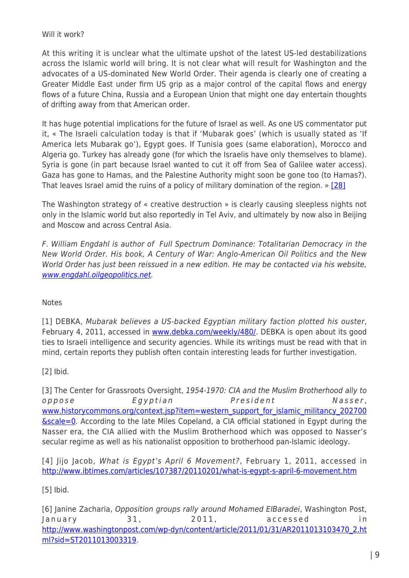### Will it work?

At this writing it is unclear what the ultimate upshot of the latest US-led destabilizations across the Islamic world will bring. It is not clear what will result for Washington and the advocates of a US-dominated New World Order. Their agenda is clearly one of creating a Greater Middle East under firm US grip as a major control of the capital flows and energy flows of a future China, Russia and a European Union that might one day entertain thoughts of drifting away from that American order.

It has huge potential implications for the future of Israel as well. As one US commentator put it, « The Israeli calculation today is that if 'Mubarak goes' (which is usually stated as 'If America lets Mubarak go'), Egypt goes. If Tunisia goes (same elaboration), Morocco and Algeria go. Turkey has already gone (for which the Israelis have only themselves to blame). Syria is gone (in part because Israel wanted to cut it off from Sea of Galilee water access). Gaza has gone to Hamas, and the Palestine Authority might soon be gone too (to Hamas?). That leaves Israel amid the ruins of a policy of military domination of the region. » [\[28\]](http://globalresearch.ca/admin/rte/richedit.html#_edn28)

The Washington strategy of « creative destruction » is clearly causing sleepless nights not only in the Islamic world but also reportedly in Tel Aviv, and ultimately by now also in Beijing and Moscow and across Central Asia.

F. William Engdahl is author of Full Spectrum Dominance: Totalitarian Democracy in the New World Order. His book, A Century of War: Anglo-American Oil Politics and the New World Order has just been reissued in a new edition. He may be contacted via his website, [www.engdahl.oilgeopolitics.net.](http://www.engdahl.oilgeopolitics.net/)

## Notes

[1] DEBKA, Mubarak believes a US-backed Egyptian military faction plotted his ouster, February 4, 2011, accessed in [www.debka.com/weekly/480/.](http://www.debka.com/weekly/480/) DEBKA is open about its good ties to Israeli intelligence and security agencies. While its writings must be read with that in mind, certain reports they publish often contain interesting leads for further investigation.

[2] Ibid.

[3] The Center for Grassroots Oversight, 1954-1970: CIA and the Muslim Brotherhood ally to oppose Egyptian President Nasser, [www.historycommons.org/context.jsp?item=western\\_support\\_for\\_islamic\\_militancy\\_202700](http://www.historycommons.org/context.jsp?item=western_support_for_islamic_militancy_202700&scale=0) **<u>[&scale=0](http://www.historycommons.org/context.jsp?item=western_support_for_islamic_militancy_202700&scale=0)</u>**. According to the late Miles Copeland, a CIA official stationed in Egypt during the Nasser era, the CIA allied with the Muslim Brotherhood which was opposed to Nasser's secular regime as well as his nationalist opposition to brotherhood pan-Islamic ideology.

[4] Jijo Jacob, What is Egypt's April 6 Movement?, February 1, 2011, accessed in <http://www.ibtimes.com/articles/107387/20110201/what-is-egypt-s-april-6-movement.htm>

[5] Ibid.

[6] Janine Zacharia, Opposition groups rally around Mohamed ElBaradei, Washington Post, January 31, 2011, accessed in [http://www.washingtonpost.com/wp-dyn/content/article/2011/01/31/AR2011013103470\\_2.ht](http://www.washingtonpost.com/wp-dyn/content/article/2011/01/31/AR2011013103470_2.html?sid=ST2011013003319) [ml?sid=ST2011013003319.](http://www.washingtonpost.com/wp-dyn/content/article/2011/01/31/AR2011013103470_2.html?sid=ST2011013003319)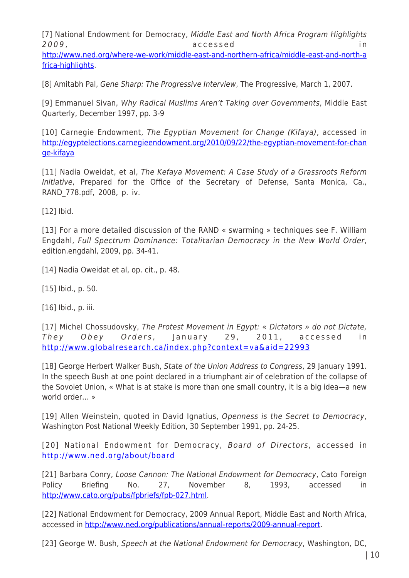[7] National Endowment for Democracy, Middle East and North Africa Program Highlights 2009 , accessed in

[http://www.ned.org/where-we-work/middle-east-and-northern-africa/middle-east-and-north-a](http://www.ned.org/where-we-work/middle-east-and-northern-africa/middle-east-and-north-africa-highlights) [frica-highlights.](http://www.ned.org/where-we-work/middle-east-and-northern-africa/middle-east-and-north-africa-highlights)

[8] Amitabh Pal, Gene Sharp: The Progressive Interview, The Progressive, March 1, 2007.

[9] Emmanuel Sivan, Why Radical Muslims Aren't Taking over Governments, Middle East Quarterly, December 1997, pp. 3-9

[10] Carnegie Endowment, The Egyptian Movement for Change (Kifaya), accessed in [http://egyptelections.carnegieendowment.org/2010/09/22/the-egyptian-movement-for-chan](http://egyptelections.carnegieendowment.org/2010/09/22/the-egyptian-movement-for-change-kifaya) [ge-kifaya](http://egyptelections.carnegieendowment.org/2010/09/22/the-egyptian-movement-for-change-kifaya)

[11] Nadia Oweidat, et al, The Kefaya Movement: A Case Study of a Grassroots Reform Initiative, Prepared for the Office of the Secretary of Defense, Santa Monica, Ca., RAND\_778.pdf, 2008, p. iv.

[12] Ibid.

[13] For a more detailed discussion of the RAND « swarming » techniques see F. William Engdahl, Full Spectrum Dominance: Totalitarian Democracy in the New World Order, edition.engdahl, 2009, pp. 34-41.

[14] Nadia Oweidat et al, op. cit., p. 48.

[15] Ibid., p. 50.

[16] Ibid., p. iii.

[17] Michel Chossudovsky, The Protest Movement in Egypt: « Dictators » do not Dictate, They Obey Orders, January 29, 2011, accessed in <http://www.globalresearch.ca/index.php?context=va&aid=22993>

[18] George Herbert Walker Bush, State of the Union Address to Congress, 29 January 1991. In the speech Bush at one point declared in a triumphant air of celebration of the collapse of the Sovoiet Union, « What is at stake is more than one small country, it is a big idea—a new world order… »

[19] Allen Weinstein, quoted in David Ignatius, Openness is the Secret to Democracy, Washington Post National Weekly Edition, 30 September 1991, pp. 24-25.

[20] National Endowment for Democracy, Board of Directors, accessed in <http://www.ned.org/about/board>

[21] Barbara Conry, Loose Cannon: The National Endowment for Democracy, Cato Foreign Policy Briefing No. 27, November 8, 1993, accessed in <http://www.cato.org/pubs/fpbriefs/fpb-027.html>.

[22] National Endowment for Democracy, 2009 Annual Report, Middle East and North Africa, accessed in [http://www.ned.org/publications/annual-reports/2009-annual-report.](http://www.ned.org/publications/annual-reports/2009-annual-report)

[23] George W. Bush, Speech at the National Endowment for Democracy, Washington, DC,